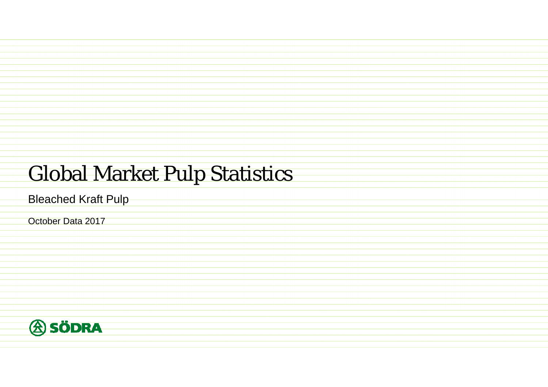## Global Market Pulp Statistics

Bleached Kraft Pulp

October Data 2017

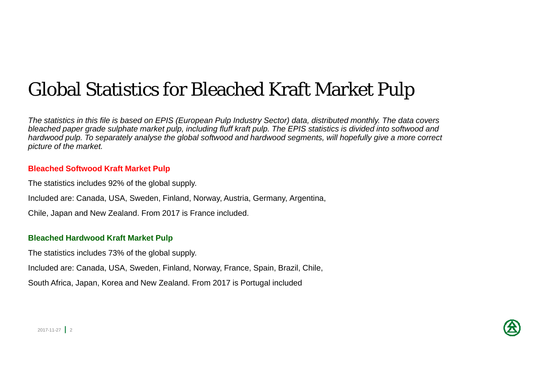## Global Statistics for Bleached Kraft Market Pulp

*The statistics in this file is based on EPIS (European Pulp Industry Sector) data, distributed monthly. The data covers*  bleached paper grade sulphate market pulp, including fluff kraft pulp. The EPIS statistics is divided into softwood and *hardwood pulp. To separately analyse the global softwood and hardwood segments, will hopefully give a more correct picture of the market.*

#### **Bleached Softwood Kraft Market Pulp**

The statistics includes 92% of the global supply.

Included are: Canada, USA, Sweden, Finland, Norway, Austria, Germany, Argentina,

Chile, Japan and New Zealand. From 2017 is France included.

#### **Bleached Hardwood Kraft Market Pulp**

The statistics includes 73% of the global supply.

Included are: Canada, USA, Sweden, Finland, Norway, France, Spain, Brazil, Chile,

South Africa, Japan, Korea and New Zealand. From 2017 is Portugal included

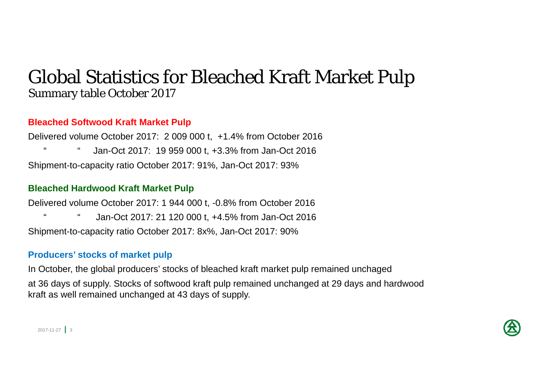### Global Statistics for Bleached Kraft Market Pulp Summary table October 2017

#### **Bleached Softwood Kraft Market Pulp**

Delivered volume October 2017: 2 009 000 t, +1.4% from October 2016 " " Jan-Oct 2017: 19 959 000 t, +3.3% from Jan-Oct 2016 Shipment-to-capacity ratio October 2017: 91%, Jan-Oct 2017: 93%

#### **Bleached Hardwood Kraft Market Pulp**

Delivered volume October 2017: 1 944 000 t, -0.8% from October 2016 Jan-Oct 2017: 21 120 000 t, +4.5% from Jan-Oct 2016 Shipment-to-capacity ratio October 2017: 8x%, Jan-Oct 2017: 90%

#### **Producers' stocks of market pulp**

In October, the global producers' stocks of bleached kraft market pulp remained unchaged at 36 days of supply. Stocks of softwood kraft pulp remained unchanged at 29 days and hardwood kraft as well remained unchanged at 43 days of supply.

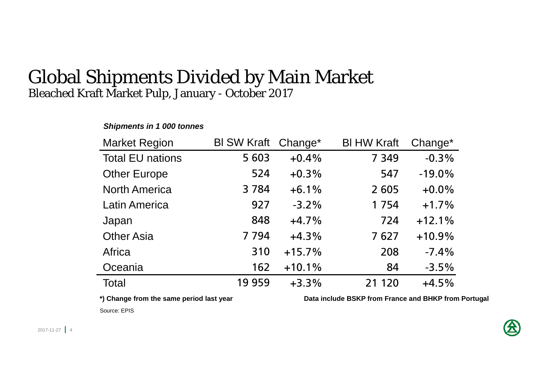### Global Shipments Divided by Main Market Bleached Kraft Market Pulp, January - October 2017

### *Shipments in 1 000 tonnes*

| <b>Market Region</b>    | BI SW Kraft Change* |          | <b>BI HW Kraft</b> | Change*  |
|-------------------------|---------------------|----------|--------------------|----------|
| <b>Total EU nations</b> | 5 603               | $+0.4%$  | 7 3 4 9            | $-0.3%$  |
| <b>Other Europe</b>     | 524                 | $+0.3%$  | 547                | $-19.0%$ |
| <b>North America</b>    | 3 7 8 4             | $+6.1%$  | 2 6 0 5            | $+0.0%$  |
| <b>Latin America</b>    | 927                 | $-3.2%$  | 1754               | $+1.7%$  |
| Japan                   | 848                 | $+4.7%$  | 724                | $+12.1%$ |
| <b>Other Asia</b>       | 7 7 9 4             | $+4.3%$  | 7627               | $+10.9%$ |
| Africa                  | 310                 | $+15.7%$ | 208                | $-7.4%$  |
| Oceania                 | 162                 | $+10.1%$ | 84                 | $-3.5%$  |
| <b>Total</b>            | 19 959              | $+3.3%$  | 21 1 20            | $+4.5%$  |

\*) Change from the same period last year **Data include BSKP** from France and BHKP from Portugal

Source: EPIS

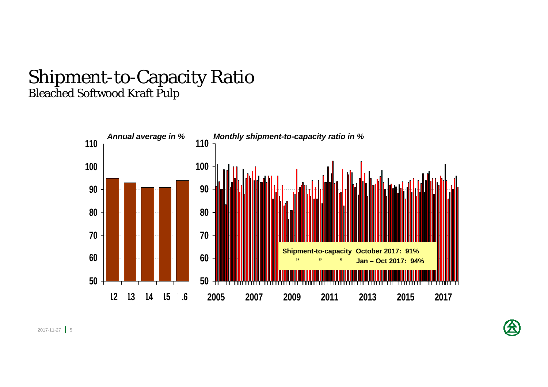### Shipment-to-Capacity Ratio Bleached Softwood Kraft Pulp



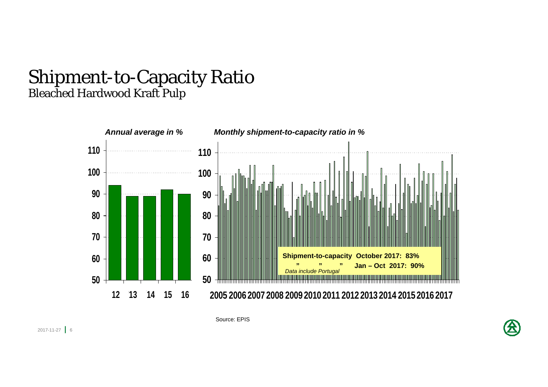### Shipment-to-Capacity Ratio Bleached Hardwood Kraft Pulp



Source: EPIS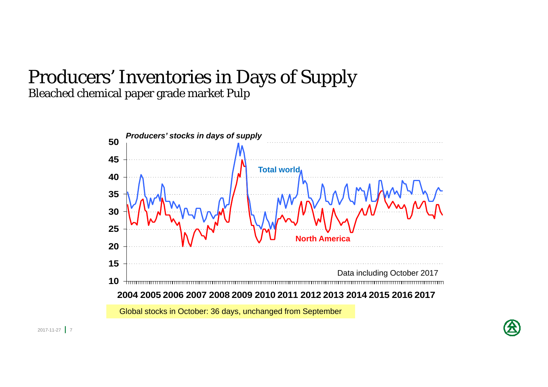### Producers' Inventories in Days of Supply Bleached chemical paper grade market Pulp



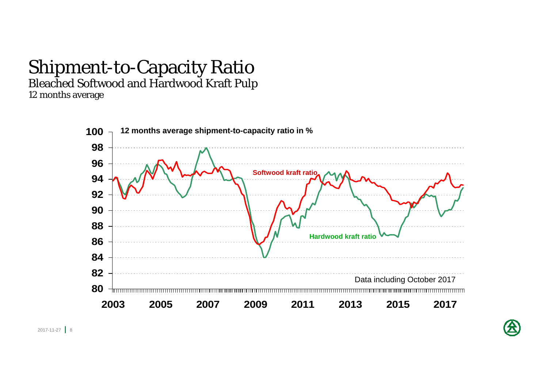# Shipment-to-Capacity Ratio

Bleached Softwood and Hardwood Kraft Pulp

12 months average



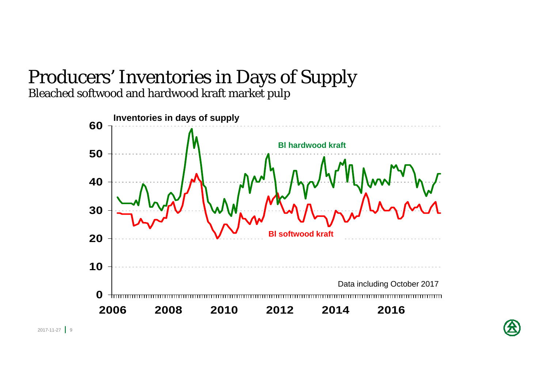# Producers' Inventories in Days of Supply

Bleached softwood and hardwood kraft market pulp



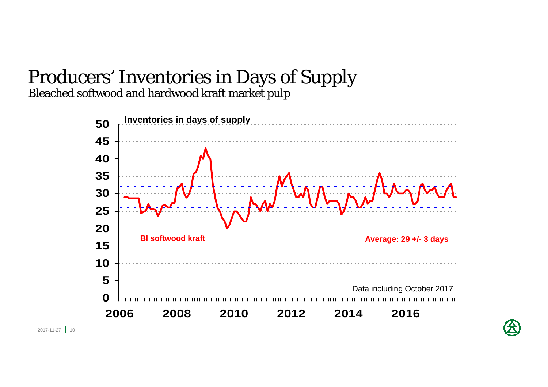# Producers' Inventories in Days of Supply

Bleached softwood and hardwood kraft market pulp





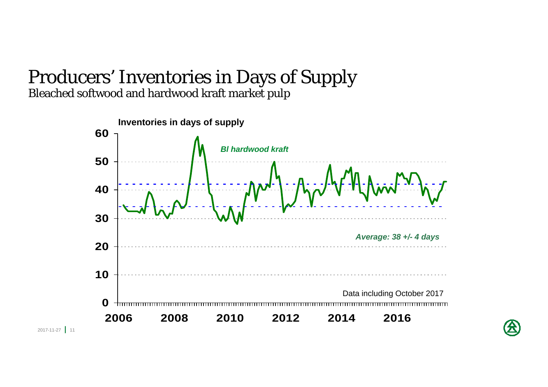### Producers' Inventories in Days of Supply Bleached softwood and hardwood kraft market pulp



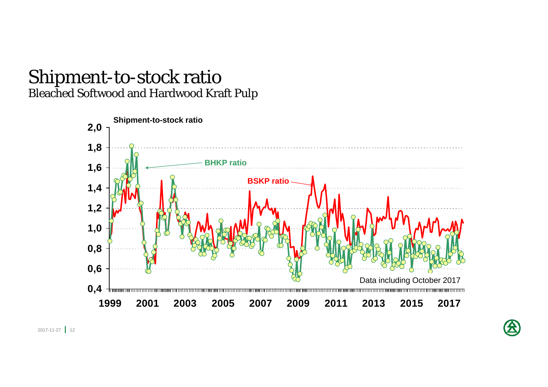### Shipment-to-stock ratio Bleached Softwood and Hardwood Kraft Pulp

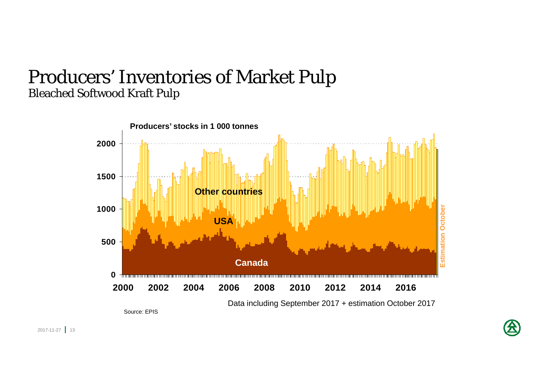## Producers' Inventories of Market Pulp Bleached Softwood Kraft Pulp

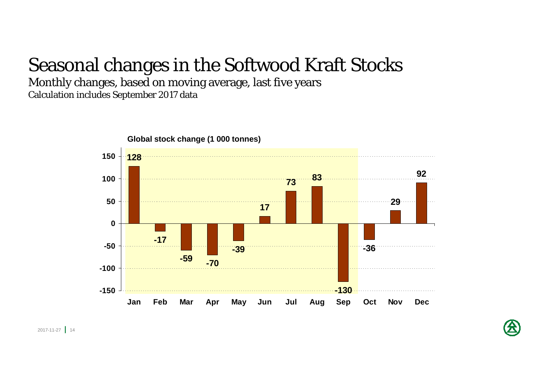## Seasonal changes in the Softwood Kraft Stocks

Monthly changes, based on moving average, last five years Calculation includes September 2017 data



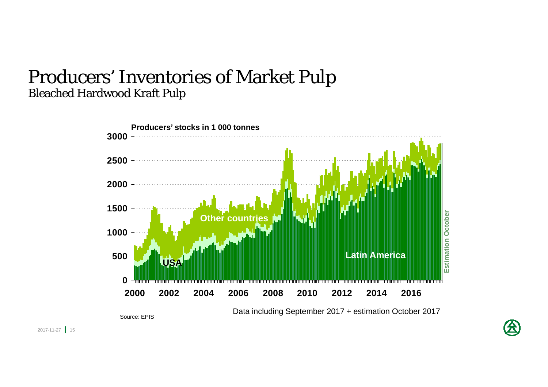### Producers' Inventories of Market Pulp Bleached Hardwood Kraft Pulp



Data including September 2017 + estimation October 2017

Source: EPIS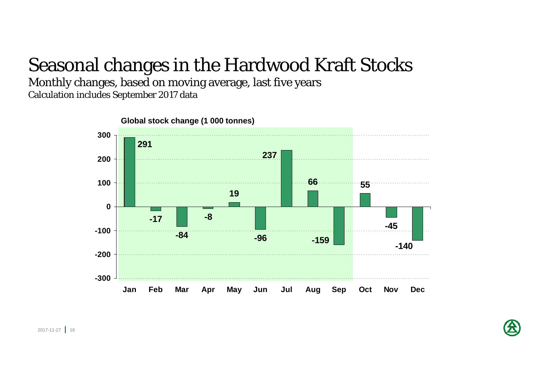## Seasonal changes in the Hardwood Kraft Stocks

Monthly changes, based on moving average, last five years Calculation includes September 2017 data



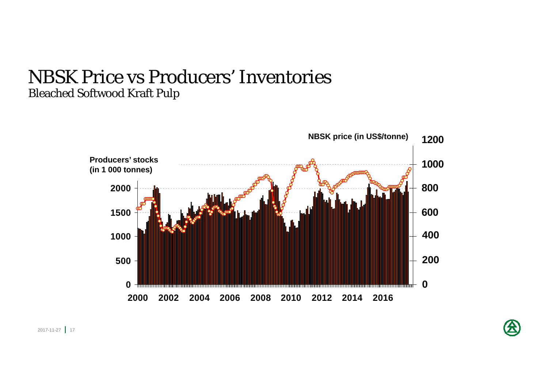### NBSK Price vs Producers' Inventories Bleached Softwood Kraft Pulp



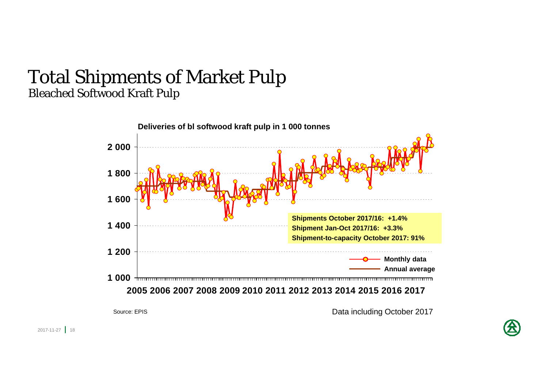### Total Shipments of Market Pulp Bleached Softwood Kraft Pulp



Source: EPIS

Data including October 2017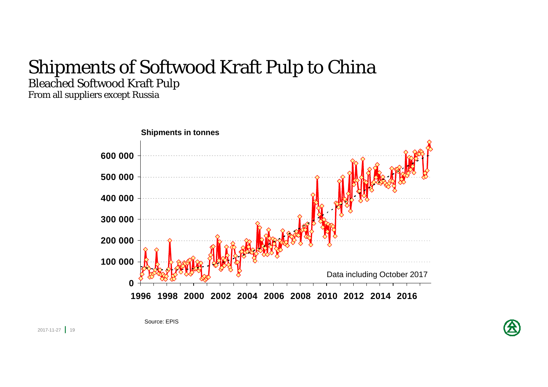## Shipments of Softwood Kraft Pulp to China Bleached Softwood Kraft Pulp

From all suppliers except Russia



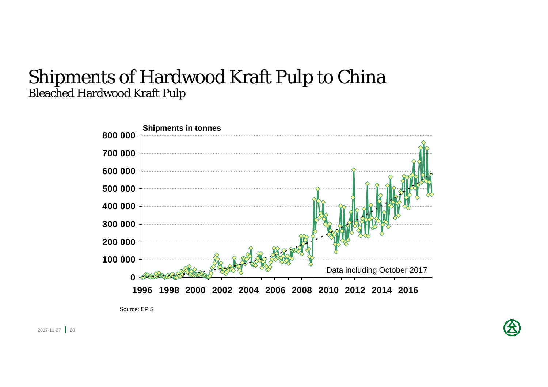### Shipments of Hardwood Kraft Pulp to China Bleached Hardwood Kraft Pulp



Source: EPIS

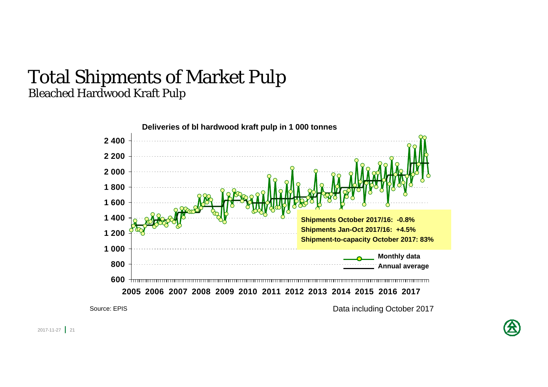### Total Shipments of Market Pulp Bleached Hardwood Kraft Pulp



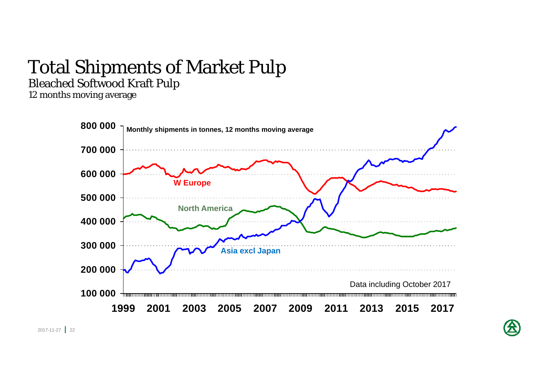# Total Shipments of Market Pulp

Bleached Softwood Kraft Pulp

12 months moving average

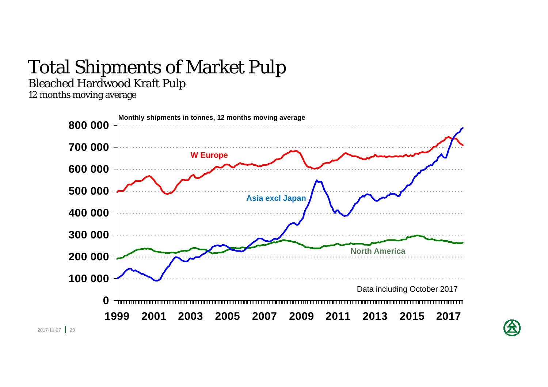# Total Shipments of Market Pulp

Bleached Hardwood Kraft Pulp

12 months moving average